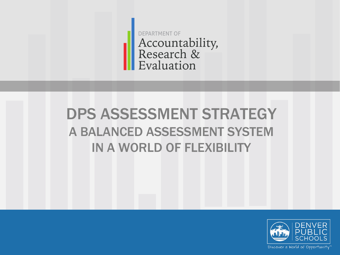**DEPARTMENT OF** Accountability,<br>Research & Evaluation

# DPS ASSESSMENT STRATEGY A BALANCED ASSESSMENT SYSTEM IN A WORLD OF FLEXIBILITY

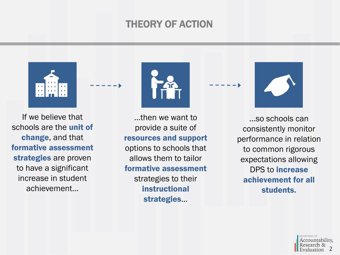### THEORY OF ACTION



If we believe that schools are the unit of change, and that formative assessment strategies are proven to have a significant increase in student achievement…



…then we want to provide a suite of resources and support options to schools that allows them to tailor formative assessment strategies to their instructional strategies…



…so schools can consistently monitor performance in relation to common rigorous expectations allowing DPS to increase achievement for all students.

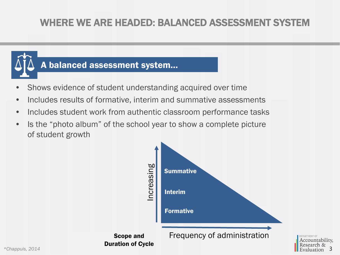# WHERE WE ARE HEADED: BALANCED ASSESSMENT SYSTEM

### A balanced assessment system…

- Shows evidence of student understanding acquired over time
- Includes results of formative, interim and summative assessments
- Includes student work from authentic classroom performance tasks
- Is the "photo album" of the school year to show a complete picture of student growth



3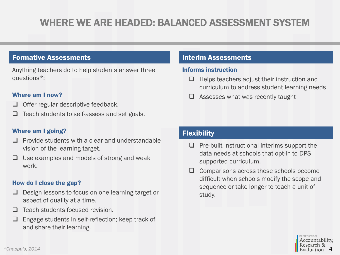# WHERE WE ARE HEADED: BALANCED ASSESSMENT SYSTEM

#### Formative Assessments

Anything teachers do to help students answer three questions\*:

#### Where am I now?

- Offer regular descriptive feedback.
- Teach students to self-assess and set goals.

#### Where am I going?

- Provide students with a clear and understandable vision of the learning target.
- Use examples and models of strong and weak work.

#### How do I close the gap?

- Design lessons to focus on one learning target or aspect of quality at a time.
- $\Box$  Teach students focused revision.
- $\Box$  Engage students in self-reflection; keep track of and share their learning.

#### Interim Assessments

#### Informs instruction

- $\Box$  Helps teachers adjust their instruction and curriculum to address student learning needs
- Assesses what was recently taught

#### **Flexibility**

- $\Box$  Pre-built instructional interims support the data needs at schools that opt-in to DPS supported curriculum.
- $\Box$  Comparisons across these schools become difficult when schools modify the scope and sequence or take longer to teach a unit of study.

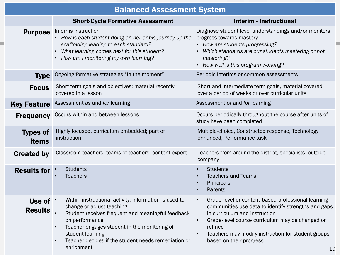| <b>Balanced Assessment System</b> |                                                                                                                                                                                                                                                                                                    |                                                                                                                                                                                                                                                                                                              |
|-----------------------------------|----------------------------------------------------------------------------------------------------------------------------------------------------------------------------------------------------------------------------------------------------------------------------------------------------|--------------------------------------------------------------------------------------------------------------------------------------------------------------------------------------------------------------------------------------------------------------------------------------------------------------|
|                                   | <b>Short-Cycle Formative Assessment</b>                                                                                                                                                                                                                                                            | <b>Interim - Instructional</b>                                                                                                                                                                                                                                                                               |
| <b>Purpose</b>                    | Informs instruction<br>• How is each student doing on her or his journey up the<br>scaffolding leading to each standard?<br>What learning comes next for this student?<br>• How am I monitoring my own learning?                                                                                   | Diagnose student level understandings and/or monitors<br>progress towards mastery<br>• How are students progressing?<br>Which standards are our students mastering or not<br>mastering?<br>• How well is this program working?                                                                               |
| <b>Type</b>                       | Ongoing formative strategies "in the moment"                                                                                                                                                                                                                                                       | Periodic interims or common assessments                                                                                                                                                                                                                                                                      |
| <b>Focus</b>                      | Short-term goals and objectives; material recently<br>covered in a lesson                                                                                                                                                                                                                          | Short and intermediate-term goals, material covered<br>over a period of weeks or over curricular units                                                                                                                                                                                                       |
| <b>Key Feature</b>                | Assessment as and for learning                                                                                                                                                                                                                                                                     | Assessment of and for learning                                                                                                                                                                                                                                                                               |
| <b>Frequency</b>                  | Occurs within and between lessons                                                                                                                                                                                                                                                                  | Occurs periodically throughout the course after units of<br>study have been completed                                                                                                                                                                                                                        |
| <b>Types of</b><br>items          | Highly focused, curriculum embedded; part of<br>instruction                                                                                                                                                                                                                                        | Multiple-choice, Constructed response, Technology<br>enhanced, Performance task                                                                                                                                                                                                                              |
| <b>Created by</b>                 | Classroom teachers, teams of teachers, content expert                                                                                                                                                                                                                                              | Teachers from around the district, specialists, outside<br>company                                                                                                                                                                                                                                           |
| <b>Results for</b>                | <b>Students</b><br><b>Teachers</b>                                                                                                                                                                                                                                                                 | <b>Students</b><br><b>Teachers and Teams</b><br>Principals<br>Parents                                                                                                                                                                                                                                        |
| Use of '<br><b>Results</b>        | Within instructional activity, information is used to<br>change or adjust teaching<br>Student receives frequent and meaningful feedback<br>on performance<br>Teacher engages student in the monitoring of<br>student learning<br>Teacher decides if the student needs remediation or<br>enrichment | Grade-level or content-based professional learning<br>$\bullet$<br>communities use data to identify strengths and gaps<br>in curriculum and instruction<br>Grade-level course curriculum may be changed or<br>refined<br>Teachers may modify instruction for student groups<br>based on their progress<br>10 |

m.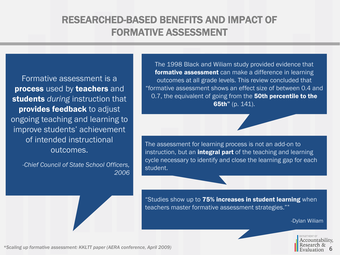# RESEARCHED-BASED BENEFITS AND IMPACT OF FORMATIVE ASSESSMENT

Formative assessment is a process used by teachers and students *during* instruction that provides feedback to adjust ongoing teaching and learning to improve students' achievement of intended instructional outcomes.

*-Chief Council of State School Officers, 2006*

The 1998 Black and Wiliam study provided evidence that formative assessment can make a difference in learning outcomes at all grade levels. This review concluded that "formative assessment shows an effect size of between 0.4 and 0.7, the equivalent of going from the 50th percentile to the 65th" (p. 141).

The assessment for learning process is not an add-on to instruction, but an **integral part** of the teaching and learning cycle necessary to identify and close the learning gap for each student.

"Studies show up to 75% increases in student learning when teachers master formative assessment strategies."\*

-Dylan Wiliam



*\*Scaling up formative assessment: KKLTT paper (AERA conference, April 2009)*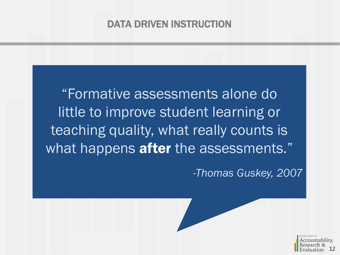## DATA DRIVEN INSTRUCTION

"Formative assessments alone do little to improve student learning or teaching quality, what really counts is what happens after the assessments."

*-Thomas Guskey, 2007*

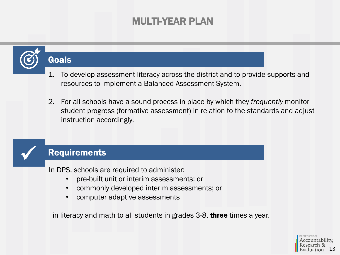### MULTI-YEAR PLAN

# **Goals**

- 1. To develop assessment literacy across the district and to provide supports and resources to implement a Balanced Assessment System.
- 2. For all schools have a sound process in place by which they *frequently* monitor student progress (formative assessment) in relation to the standards and adjust instruction accordingly.

### **Requirements**

In DPS, schools are required to administer:

- pre-built unit or interim assessments; or
- commonly developed interim assessments; or
- computer adaptive assessments

in literacy and math to all students in grades 3-8, **three** times a year.

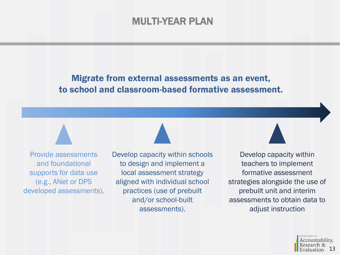### MULTI-YEAR PLAN

### Migrate from external assessments as an event, to school and classroom-based formative assessment.

Provide assessments and foundational supports for data use (e.g., ANet or DPS developed assessments). Develop capacity within schools to design and implement a local assessment strategy aligned with individual school practices (use of prebuilt and/or school-built assessments).

Develop capacity within teachers to implement formative assessment strategies alongside the use of prebuilt unit and interim assessments to obtain data to adjust instruction

> Accountability. 13valuation